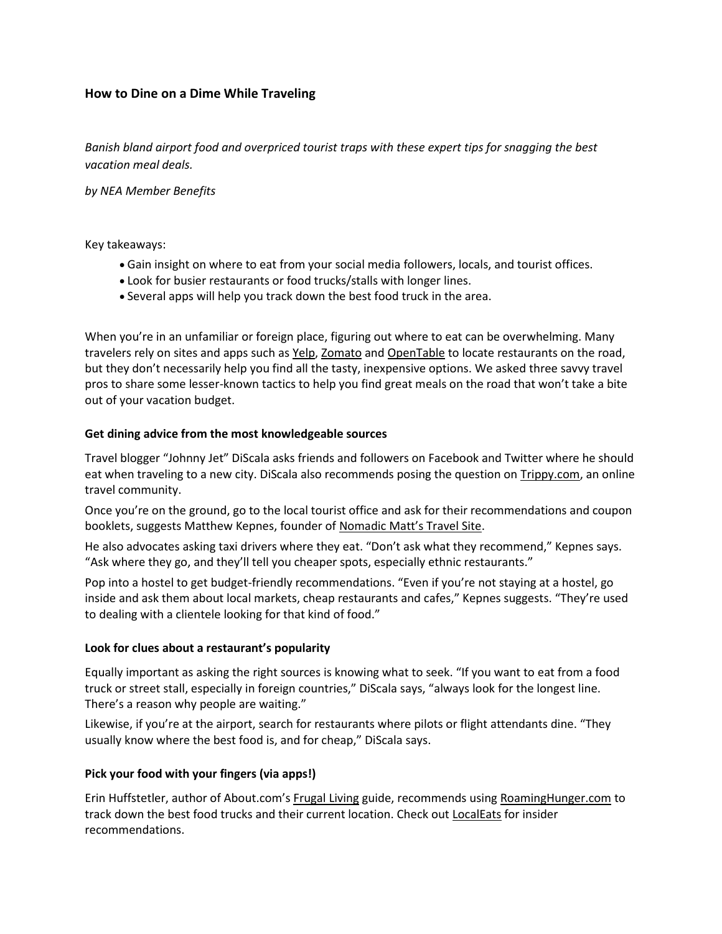# **How to Dine on a Dime While Traveling**

*Banish bland airport food and overpriced tourist traps with these expert tips for snagging the best vacation meal deals.*

*by NEA Member Benefits*

Key takeaways:

- Gain insight on where to eat from your social media followers, locals, and tourist offices.
- Look for busier restaurants or food trucks/stalls with longer lines.
- Several apps will help you track down the best food truck in the area.

When you're in an unfamiliar or foreign place, figuring out where to eat can be overwhelming. Many travelers rely on sites and apps such as [Yelp,](http://yelp.com/) [Zomato](https://www.zomato.com/) and [OpenTable](https://www.opentable.com/) to locate restaurants on the road, but they don't necessarily help you find all the tasty, inexpensive options. We asked three savvy travel pros to share some lesser-known tactics to help you find great meals on the road that won't take a bite out of your vacation budget.

#### **Get dining advice from the most knowledgeable sources**

Travel blogger "Johnny Jet" DiScala asks friends and followers on Facebook and Twitter where he should eat when traveling to a new city. DiScala also recommends posing the question on [Trippy.com,](http://www.trippy.com/) an online travel community.

Once you're on the ground, go to the local tourist office and ask for their recommendations and coupon booklets, suggests Matthew Kepnes, founder of [Nomadic Matt's Travel Site](http://www.nomadicmatt.com/).

He also advocates asking taxi drivers where they eat. "Don't ask what they recommend," Kepnes says. "Ask where they go, and they'll tell you cheaper spots, especially ethnic restaurants."

Pop into a hostel to get budget-friendly recommendations. "Even if you're not staying at a hostel, go inside and ask them about local markets, cheap restaurants and cafes," Kepnes suggests. "They're used to dealing with a clientele looking for that kind of food."

## **Look for clues about a restaurant's popularity**

Equally important as asking the right sources is knowing what to seek. "If you want to eat from a food truck or street stall, especially in foreign countries," DiScala says, "always look for the longest line. There's a reason why people are waiting."

Likewise, if you're at the airport, search for restaurants where pilots or flight attendants dine. "They usually know where the best food is, and for cheap," DiScala says.

## **Pick your food with your fingers (via apps!)**

Erin Huffstetler, author of About.com's [Frugal](http://frugalliving.about.com/) [Living](http://frugalliving.about.com/) guide, recommends using [RoamingHunger.com](http://roaminghunger.com/) to track down the best food trucks and their current location. Check out [LocalEats](https://www.localeats.com/index.html) for insider recommendations.